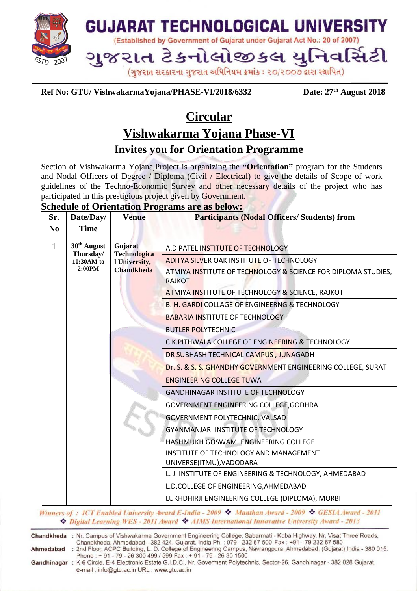

### **Ref** No: GTU/ VishwakarmaYojana/PHASE-VI/2018/6332

Date: 27<sup>th</sup> August 2018

# **Circular Vishwakarma Yojana Phase-VI**

**Invites you for Orientation Programme**

Section of Vishwakarma Yojana,Project is organizing the **"Orientation"** program for the Students and Nodal Officers of Degree / Diploma (Civil / Electrical) to give the details of Scope of work guidelines of the Techno-Economic Survey and other necessary details of the project who has participated in this prestigious project given by Government.

#### **Schedule of Orientation Programs are as below:**

| Sr.<br>N <sub>0</sub> | Date/Day/<br><b>Time</b>                                     | <b>Venue</b>                                                         | <b>Participants (Nodal Officers/Students) from</b>                             |
|-----------------------|--------------------------------------------------------------|----------------------------------------------------------------------|--------------------------------------------------------------------------------|
|                       |                                                              |                                                                      |                                                                                |
| 1                     | 30 <sup>th</sup> August<br>Thursday/<br>10:30AM to<br>2:00PM | Gujarat<br><b>Technologica</b><br>l University,<br><b>Chandkheda</b> | A.D PATEL INSTITUTE OF TECHNOLOGY                                              |
|                       |                                                              |                                                                      | ADITYA SILVER OAK INSTITUTE OF TECHNOLOGY                                      |
|                       |                                                              |                                                                      | ATMIYA INSTITUTE OF TECHNOLOGY & SCIENCE FOR DIPLOMA STUDIES,<br><b>RAJKOT</b> |
|                       |                                                              |                                                                      | ATMIYA INSTITUTE OF TECHNOLOGY & SCIENCE, RAJKOT                               |
|                       |                                                              |                                                                      | B. H. GARDI COLLAGE OF ENGINEERNG & TECHNOLOGY                                 |
|                       |                                                              |                                                                      | <b>BABARIA INSTITUTE OF TECHNOLOGY</b>                                         |
|                       |                                                              |                                                                      | <b>BUTLER POLYTECHNIC</b>                                                      |
|                       |                                                              |                                                                      | C.K.PITHWALA COLLEGE OF ENGINEERING & TECHNOLOGY                               |
|                       |                                                              |                                                                      | DR SUBHASH TECHNICAL CAMPUS, JUNAGADH                                          |
|                       |                                                              |                                                                      | Dr. S. & S. S. GHANDHY GOVERNMENT ENGINEERING COLLEGE, SURAT                   |
|                       |                                                              |                                                                      | <b>ENGINEERING COLLEGE TUWA</b>                                                |
|                       |                                                              |                                                                      | <b>GANDHINAGAR INSTITUTE OF TECHNOLOGY</b>                                     |
|                       |                                                              |                                                                      | GOVERNMENT ENGINEERING COLLEGE, GODHRA                                         |
|                       |                                                              |                                                                      | GOVERNMENT POLYTECHNIC, VALSAD                                                 |
|                       |                                                              |                                                                      | <b>GYANMANJARI INSTITUTE OF TECHNOLOGY</b>                                     |
|                       |                                                              |                                                                      | HASHMUKH GOSWAMI ENGINEERING COLLEGE                                           |
|                       |                                                              |                                                                      | INSTITUTE OF TECHNOLOGY AND MANAGEMENT                                         |
|                       |                                                              |                                                                      | UNIVERSE(ITMU), VADODARA                                                       |
|                       |                                                              |                                                                      | L. J. INSTITUTE OF ENGINEERING & TECHNOLOGY, AHMEDABAD                         |
|                       |                                                              |                                                                      | L.D.COLLEGE OF ENGINEERING, AHMEDABAD                                          |
|                       |                                                              |                                                                      | LUKHDHIRJI ENGINEERING COLLEGE (DIPLOMA), MORBI                                |

Winners of: ICT Enabled University Award E-India - 2009  $\div$  Manthan Award - 2009  $\div$  GESIA Award - 2011 Digital Learning WES - 2011 Award MAIMS International Innovative University Award - 2013

|           | Chandkheda : Nr. Campus of Vishwakarma Government Engineering College, Sabarmati - Koba Highway, Nr. Visat Three Roads,<br>Chandkheda, Ahmedabad - 382 424, Gujarat, India Ph. : 079 - 232 67 500 Fax : +91 - 79 232 67 580 |
|-----------|-----------------------------------------------------------------------------------------------------------------------------------------------------------------------------------------------------------------------------|
| Ahmedabad | : 2nd Floor, ACPC Building, L. D. College of Engineering Campus, Navrangpura, Ahmedabad, (Gujarat) India - 380 015.<br>Phone: +91 - 79 - 26 300 499 / 599 Fax: +91 - 79 - 26 30 1500                                        |
|           | Gandhinagar : K-6 Circle, E-4 Electronic Estate G.I.D.C., Nr. Goverment Polytechnic, Sector-26, Gandhinagar - 382 028 Gujarat.<br>e-mail: info@gtu.ac.in URL: www.gtu.ac.in                                                 |